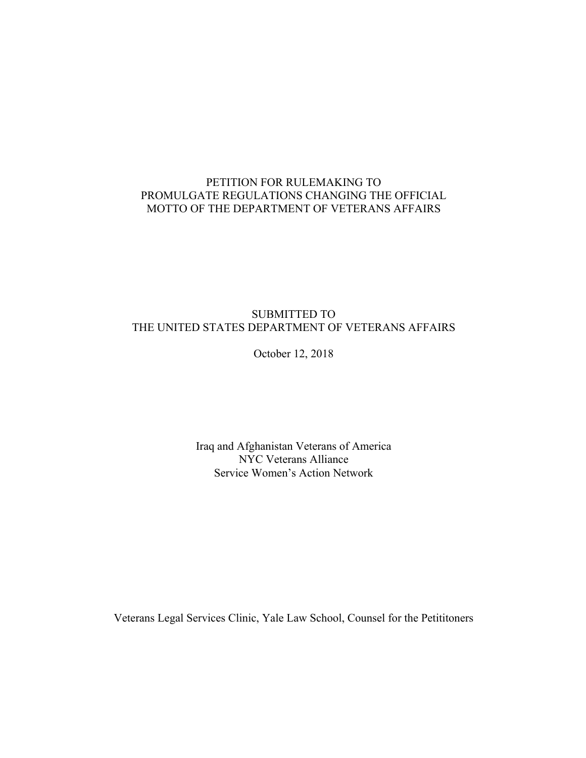# PETITION FOR RULEMAKING TO PROMULGATE REGULATIONS CHANGING THE OFFICIAL MOTTO OF THE DEPARTMENT OF VETERANS AFFAIRS

# SUBMITTED TO THE UNITED STATES DEPARTMENT OF VETERANS AFFAIRS

October 12, 2018

Iraq and Afghanistan Veterans of America NYC Veterans Alliance Service Women's Action Network

Veterans Legal Services Clinic, Yale Law School, Counsel for the Petititoners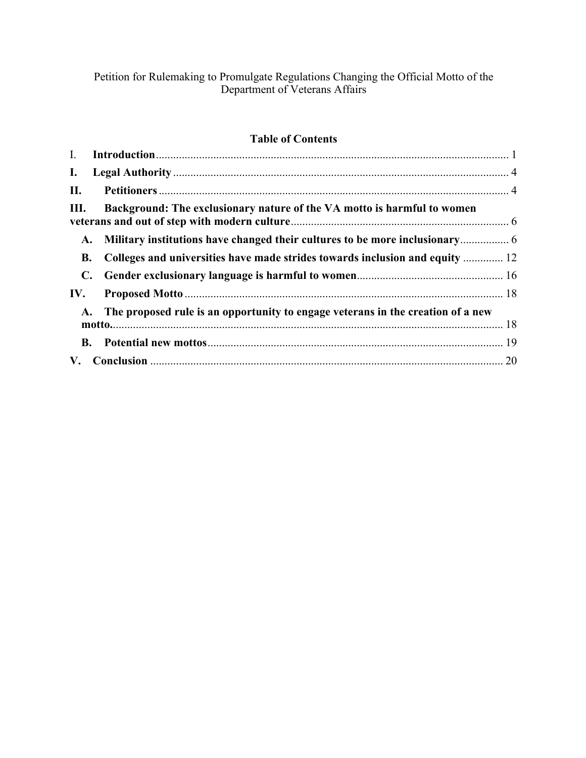Petition for Rulemaking to Promulgate Regulations Changing the Official Motto of the Department of Veterans Affairs

# **Table of Contents**

| $\mathbf{I}$ . |                                                                                    |    |
|----------------|------------------------------------------------------------------------------------|----|
| $\mathbf{I}$ . |                                                                                    |    |
| II.            |                                                                                    |    |
| Ш.             | Background: The exclusionary nature of the VA motto is harmful to women            |    |
| A.             |                                                                                    |    |
| <b>B.</b>      | Colleges and universities have made strides towards inclusion and equity  12       |    |
| C.             |                                                                                    |    |
| IV.            |                                                                                    |    |
|                | A. The proposed rule is an opportunity to engage veterans in the creation of a new |    |
|                |                                                                                    |    |
| V.             |                                                                                    | 20 |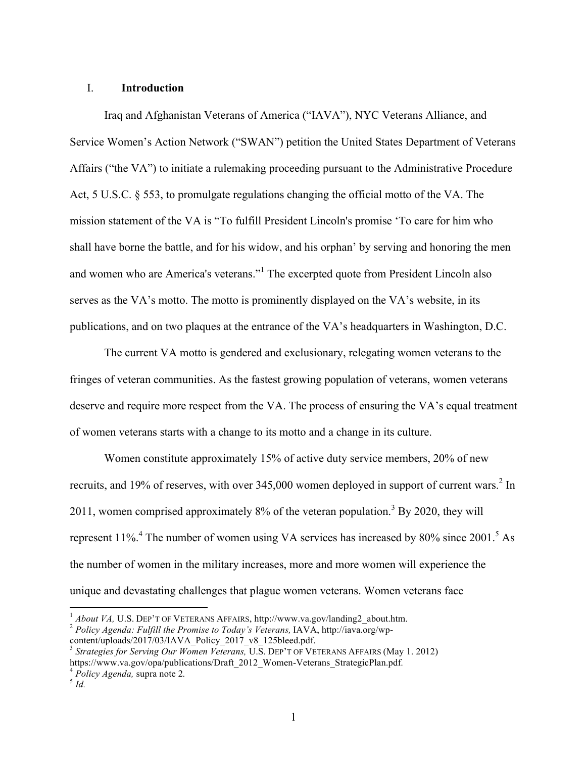## I. **Introduction**

Iraq and Afghanistan Veterans of America ("IAVA"), NYC Veterans Alliance, and Service Women's Action Network ("SWAN") petition the United States Department of Veterans Affairs ("the VA") to initiate a rulemaking proceeding pursuant to the Administrative Procedure Act, 5 U.S.C. § 553, to promulgate regulations changing the official motto of the VA. The mission statement of the VA is "To fulfill President Lincoln's promise 'To care for him who shall have borne the battle, and for his widow, and his orphan' by serving and honoring the men and women who are America's veterans."<sup>1</sup> The excerpted quote from President Lincoln also serves as the VA's motto. The motto is prominently displayed on the VA's website, in its publications, and on two plaques at the entrance of the VA's headquarters in Washington, D.C.

The current VA motto is gendered and exclusionary, relegating women veterans to the fringes of veteran communities. As the fastest growing population of veterans, women veterans deserve and require more respect from the VA. The process of ensuring the VA's equal treatment of women veterans starts with a change to its motto and a change in its culture.

Women constitute approximately 15% of active duty service members, 20% of new recruits, and 19% of reserves, with over 345,000 women deployed in support of current wars.<sup>2</sup> In 2011, women comprised approximately  $8\%$  of the veteran population.<sup>3</sup> By 2020, they will represent  $11\%$ <sup>4</sup>. The number of women using VA services has increased by 80% since 2001.<sup>5</sup> As the number of women in the military increases, more and more women will experience the unique and devastating challenges that plague women veterans. Women veterans face

<sup>&</sup>lt;sup>1</sup> *About VA*, U.S. DEP'T OF VETERANS AFFAIRS, http://www.va.gov/landing2\_about.htm.<br><sup>2</sup> *Policy Agenda: Fulfill the Promise to Today's Veterans*, IAVA, http://iava.org/wp-

content/uploads/2017/03/IAVA\_Policy\_2017\_v8\_125bleed.pdf.

<sup>3</sup> *Strategies for Serving Our Women Veterans,* U.S. DEP'T OF VETERANS AFFAIRS (May 1. 2012) https://www.va.gov/opa/publications/Draft\_2012\_Women-Veterans\_StrategicPlan.pdf*.* <sup>4</sup> *Policy Agenda,* supra note 2*.* <sup>5</sup> *Id.*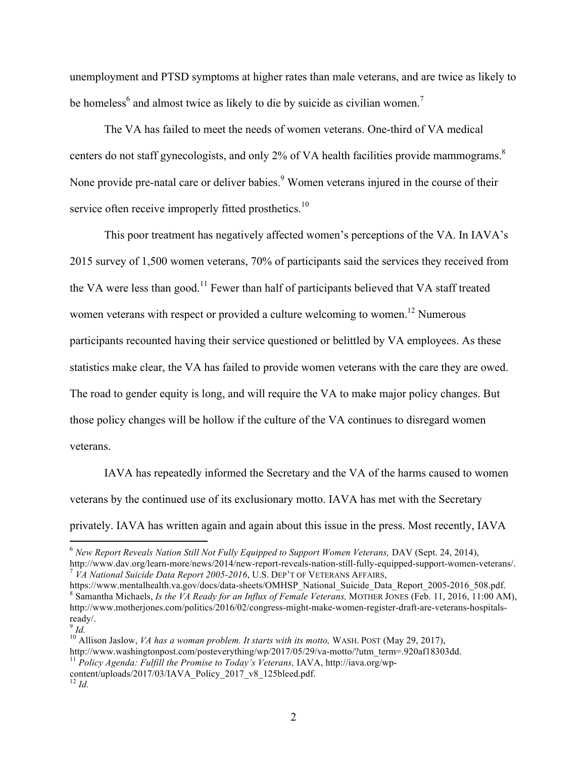unemployment and PTSD symptoms at higher rates than male veterans, and are twice as likely to be homeless<sup>6</sup> and almost twice as likely to die by suicide as civilian women.<sup>7</sup>

The VA has failed to meet the needs of women veterans. One-third of VA medical centers do not staff gynecologists, and only 2% of VA health facilities provide mammograms.<sup>8</sup> None provide pre-natal care or deliver babies.<sup>9</sup> Women veterans injured in the course of their service often receive improperly fitted prosthetics.<sup>10</sup>

This poor treatment has negatively affected women's perceptions of the VA. In IAVA's 2015 survey of 1,500 women veterans, 70% of participants said the services they received from the VA were less than good.<sup>11</sup> Fewer than half of participants believed that VA staff treated women veterans with respect or provided a culture welcoming to women.<sup>12</sup> Numerous participants recounted having their service questioned or belittled by VA employees. As these statistics make clear, the VA has failed to provide women veterans with the care they are owed. The road to gender equity is long, and will require the VA to make major policy changes. But those policy changes will be hollow if the culture of the VA continues to disregard women veterans.

IAVA has repeatedly informed the Secretary and the VA of the harms caused to women veterans by the continued use of its exclusionary motto. IAVA has met with the Secretary privately. IAVA has written again and again about this issue in the press. Most recently, IAVA

<sup>&</sup>lt;sup>6</sup> New Report Reveals Nation Still Not Fully Equipped to Support Women Veterans, DAV (Sept. 24, 2014),

http://www.dav.org/learn-more/news/2014/new-report-reveals-nation-still-fully-equipped-support-women-veterans/.<br><sup>7</sup> *VA National Suicide Data Report 2005-2016*, U.S. DEP'T OF VETERANS AFFAIRS,<br>https://www.mentalhealth.va.g

<sup>&</sup>lt;sup>8</sup> Samantha Michaels, *Is the VA Ready for an Influx of Female Veterans*, MOTHER JONES (Feb. 11, 2016, 11:00 AM), http://www.motherjones.com/politics/2016/02/congress-might-make-women-register-draft-are-veterans-hospitalsready/.

 $9$  *Id.* 

<sup>&</sup>lt;sup>10</sup> Allison Jaslow, *VA has a woman problem. It starts with its motto*, WASH. POST (May 29, 2017),<br>http://www.washingtonpost.com/posteverything/wp/2017/05/29/va-motto/?utm\_term=.920af18303dd.

<sup>&</sup>lt;sup>11</sup> Policv Agenda: Fulfill the Promise to Today's Veterans, IAVA, http://iava.org/wp-

content/uploads/2017/03/IAVA\_Policy\_2017\_v8\_125bleed.pdf.  $12$  *Id.*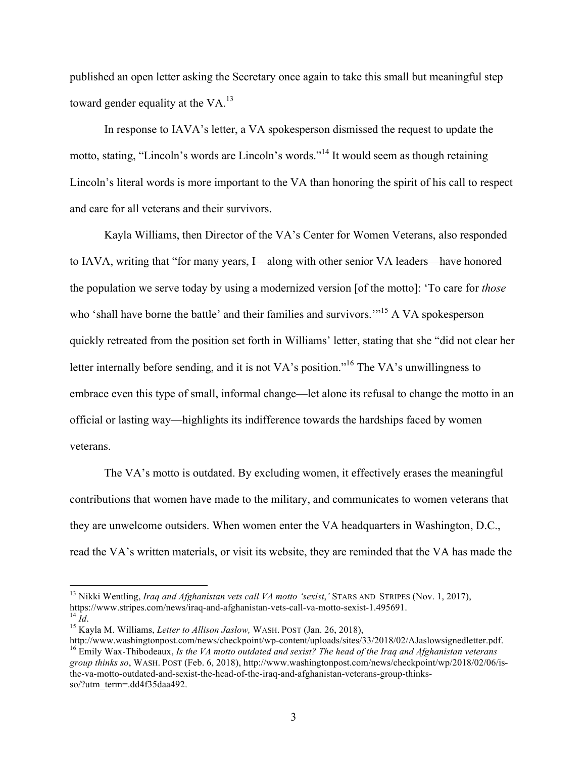published an open letter asking the Secretary once again to take this small but meaningful step toward gender equality at the  $VA$ .<sup>13</sup>

In response to IAVA's letter, a VA spokesperson dismissed the request to update the motto, stating, "Lincoln's words are Lincoln's words."<sup>14</sup> It would seem as though retaining Lincoln's literal words is more important to the VA than honoring the spirit of his call to respect and care for all veterans and their survivors.

Kayla Williams, then Director of the VA's Center for Women Veterans, also responded to IAVA, writing that "for many years, I—along with other senior VA leaders—have honored the population we serve today by using a modernized version [of the motto]: 'To care for *those* who 'shall have borne the battle' and their families and survivors."<sup>15</sup> A VA spokesperson quickly retreated from the position set forth in Williams' letter, stating that she "did not clear her letter internally before sending, and it is not VA's position."<sup>16</sup> The VA's unwillingness to embrace even this type of small, informal change—let alone its refusal to change the motto in an official or lasting way—highlights its indifference towards the hardships faced by women veterans.

The VA's motto is outdated. By excluding women, it effectively erases the meaningful contributions that women have made to the military, and communicates to women veterans that they are unwelcome outsiders. When women enter the VA headquarters in Washington, D.C., read the VA's written materials, or visit its website, they are reminded that the VA has made the

<sup>&</sup>lt;sup>13</sup> Nikki Wentling, *Iraq and Afghanistan vets call VA motto 'sexist*,' STARS AND STRIPES (Nov. 1, 2017), https://www.stripes.com/news/iraq-and-afghanistan-vets-call-va-motto-sexist-1.495691. <sup>14</sup> *Id.*<br><sup>15</sup> Kayla M. Williams, *Letter to Allison Jaslow,* WASH. POST (Jan. 26, 2018),

http://www.washingtonpost.com/news/checkpoint/wp-content/uploads/sites/33/2018/02/AJaslowsignedletter.pdf. <sup>16</sup> Emily Wax-Thibodeaux, *Is the VA motto outdated and sexist? The head of the Iraq and Afghanistan veterans group thinks so*, WASH. POST (Feb. 6, 2018), http://www.washingtonpost.com/news/checkpoint/wp/2018/02/06/isthe-va-motto-outdated-and-sexist-the-head-of-the-iraq-and-afghanistan-veterans-group-thinksso/?utm\_term=.dd4f35daa492.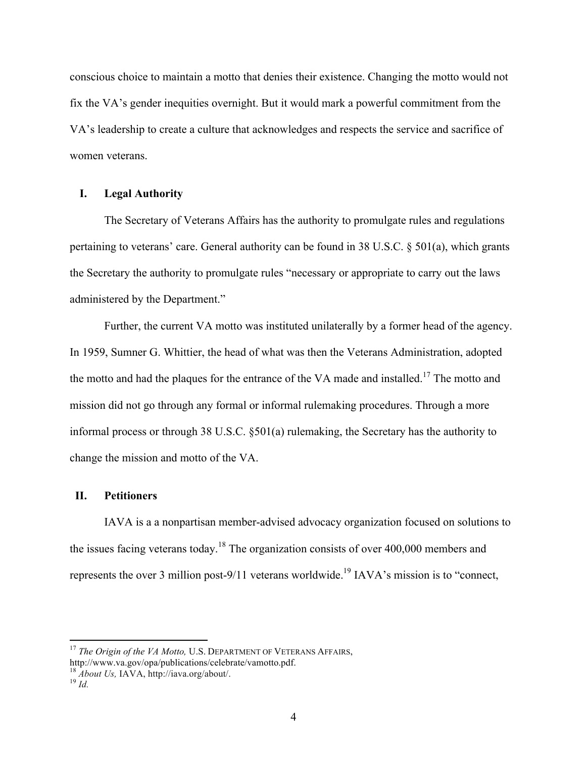conscious choice to maintain a motto that denies their existence. Changing the motto would not fix the VA's gender inequities overnight. But it would mark a powerful commitment from the VA's leadership to create a culture that acknowledges and respects the service and sacrifice of women veterans.

#### **I. Legal Authority**

The Secretary of Veterans Affairs has the authority to promulgate rules and regulations pertaining to veterans' care. General authority can be found in 38 U.S.C. § 501(a), which grants the Secretary the authority to promulgate rules "necessary or appropriate to carry out the laws administered by the Department."

Further, the current VA motto was instituted unilaterally by a former head of the agency. In 1959, Sumner G. Whittier, the head of what was then the Veterans Administration, adopted the motto and had the plaques for the entrance of the VA made and installed.<sup>17</sup> The motto and mission did not go through any formal or informal rulemaking procedures. Through a more informal process or through 38 U.S.C. §501(a) rulemaking, the Secretary has the authority to change the mission and motto of the VA.

#### **II. Petitioners**

IAVA is a a nonpartisan member-advised advocacy organization focused on solutions to the issues facing veterans today.<sup>18</sup> The organization consists of over 400,000 members and represents the over 3 million post-9/11 veterans worldwide.<sup>19</sup> IAVA's mission is to "connect,

<sup>&</sup>lt;sup>17</sup> *The Origin of the VA Motto, U.S. DEPARTMENT OF VETERANS AFFAIRS,* 

http://www.va.gov/opa/publications/celebrate/vamotto.pdf.

<sup>18</sup> *About Us,* IAVA, http://iava.org/about/. <sup>19</sup> *Id.*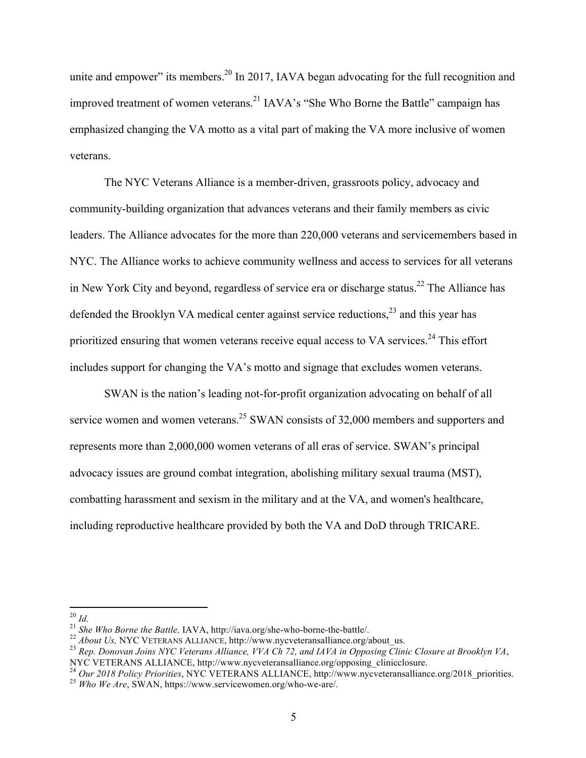unite and empower" its members.<sup>20</sup> In 2017, IAVA began advocating for the full recognition and improved treatment of women veterans.<sup>21</sup> IAVA's "She Who Borne the Battle" campaign has emphasized changing the VA motto as a vital part of making the VA more inclusive of women veterans.

The NYC Veterans Alliance is a member-driven, grassroots policy, advocacy and community-building organization that advances veterans and their family members as civic leaders. The Alliance advocates for the more than 220,000 veterans and servicemembers based in NYC. The Alliance works to achieve community wellness and access to services for all veterans in New York City and beyond, regardless of service era or discharge status.<sup>22</sup> The Alliance has defended the Brooklyn VA medical center against service reductions,  $2<sup>3</sup>$  and this year has prioritized ensuring that women veterans receive equal access to VA services.<sup>24</sup> This effort includes support for changing the VA's motto and signage that excludes women veterans.

SWAN is the nation's leading not-for-profit organization advocating on behalf of all service women and women veterans.<sup>25</sup> SWAN consists of 32,000 members and supporters and represents more than 2,000,000 women veterans of all eras of service. SWAN's principal advocacy issues are ground combat integration, abolishing military sexual trauma (MST), combatting harassment and sexism in the military and at the VA, and women's healthcare, including reproductive healthcare provided by both the VA and DoD through TRICARE.

<sup>&</sup>lt;sup>20</sup> *Id.*<br><sup>21</sup> *She Who Borne the Battle*, IAVA, http://iava.org/she-who-borne-the-battle/.<br><sup>22</sup> *About Us*, NYC VETERANS ALLIANCE, http://www.nycveteransalliance.org/about\_us.<br><sup>23</sup> *Rep. Donovan Joins NYC Veterans Allia* 

<sup>&</sup>lt;sup>24</sup> Our 2018 Policy Priorities, NYC VETERANS ALLIANCE, http://www.nycveteransalliance.org/2018\_priorities.<br><sup>25</sup> Who We Are, SWAN, https://www.servicewomen.org/who-we-are/.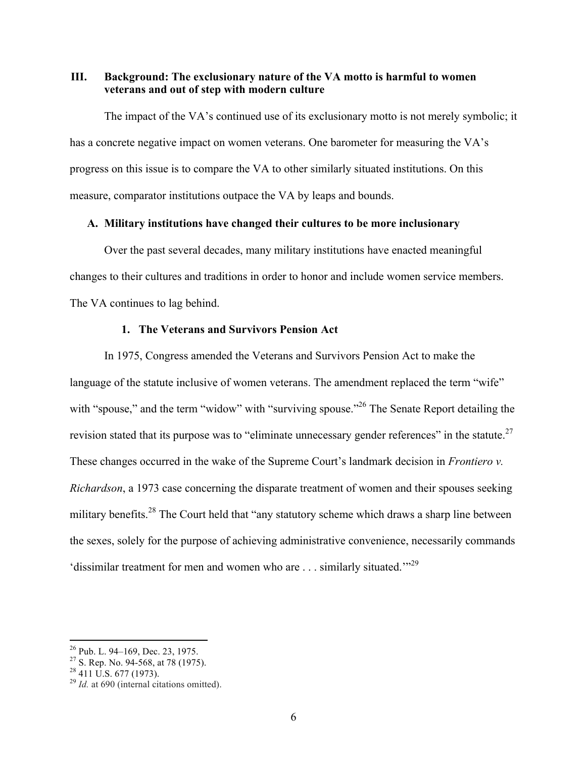**III. Background: The exclusionary nature of the VA motto is harmful to women veterans and out of step with modern culture** 

The impact of the VA's continued use of its exclusionary motto is not merely symbolic; it has a concrete negative impact on women veterans. One barometer for measuring the VA's progress on this issue is to compare the VA to other similarly situated institutions. On this measure, comparator institutions outpace the VA by leaps and bounds.

#### **A. Military institutions have changed their cultures to be more inclusionary**

Over the past several decades, many military institutions have enacted meaningful changes to their cultures and traditions in order to honor and include women service members. The VA continues to lag behind.

#### **1. The Veterans and Survivors Pension Act**

In 1975, Congress amended the Veterans and Survivors Pension Act to make the language of the statute inclusive of women veterans. The amendment replaced the term "wife" with "spouse," and the term "widow" with "surviving spouse."<sup>26</sup> The Senate Report detailing the revision stated that its purpose was to "eliminate unnecessary gender references" in the statute.<sup>27</sup> These changes occurred in the wake of the Supreme Court's landmark decision in *Frontiero v. Richardson*, a 1973 case concerning the disparate treatment of women and their spouses seeking military benefits.<sup>28</sup> The Court held that "any statutory scheme which draws a sharp line between the sexes, solely for the purpose of achieving administrative convenience, necessarily commands 'dissimilar treatment for men and women who are  $\dots$  similarly situated.<sup>"29</sup>

<sup>&</sup>lt;sup>26</sup> Pub. L. 94–169, Dec. 23, 1975.<br><sup>27</sup> S. Rep. No. 94-568, at 78 (1975).<br><sup>28</sup> 411 U.S. 677 (1973).<br><sup>29</sup> *Id.* at 690 (internal citations omitted).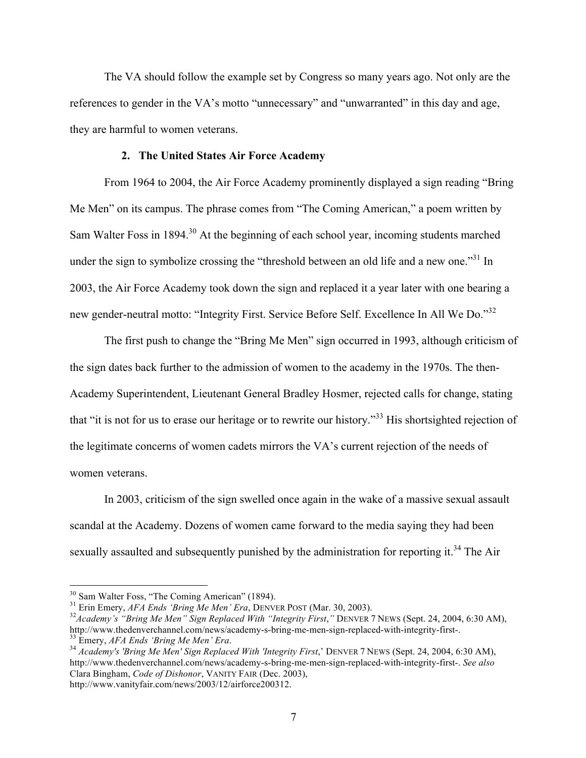The VA should follow the example set by Congress so many years ago. Not only are the references to gender in the VA's motto "unnecessary" and "unwarranted" in this day and age, they are harmful to women veterans.

#### **2. The United States Air Force Academy**

From 1964 to 2004, the Air Force Academy prominently displayed a sign reading "Bring Me Men" on its campus. The phrase comes from "The Coming American," a poem written by Sam Walter Foss in 1894.<sup>30</sup> At the beginning of each school year, incoming students marched under the sign to symbolize crossing the "threshold between an old life and a new one."<sup>31</sup> In 2003, the Air Force Academy took down the sign and replaced it a year later with one bearing a new gender-neutral motto: "Integrity First. Service Before Self. Excellence In All We Do."<sup>32</sup>

The first push to change the "Bring Me Men" sign occurred in 1993, although criticism of the sign dates back further to the admission of women to the academy in the 1970s. The then-Academy Superintendent, Lieutenant General Bradley Hosmer, rejected calls for change, stating that "it is not for us to erase our heritage or to rewrite our history."<sup>33</sup> His shortsighted rejection of the legitimate concerns of women cadets mirrors the VA's current rejection of the needs of women veterans.

In 2003, criticism of the sign swelled once again in the wake of a massive sexual assault scandal at the Academy. Dozens of women came forward to the media saying they had been sexually assaulted and subsequently punished by the administration for reporting it.<sup>34</sup> The Air

http://www.vanityfair.com/news/2003/12/airforce200312.

<sup>&</sup>lt;sup>30</sup> Sam Walter Foss, "The Coming American" (1894).<br><sup>31</sup> Erin Emery, *AFA Ends 'Bring Me Men' Era*, DENVER POST (Mar. 30, 2003).<br><sup>32</sup> Academy's "Bring Me Men" Sign Replaced With "Integrity First," DENVER 7 NEWS (Sept. 24, http://www.thedenverchannel.com/news/academy-s-bring-me-men-sign-replaced-with-integrity-first-.<br><sup>33</sup> Emery, AFA Ends 'Bring Me Men' Era.<br><sup>34</sup> Academy's 'Bring Me Men' Sign Replaced With 'Integrity First,' DENVER 7 NEWS (S

http://www.thedenverchannel.com/news/academy-s-bring-me-men-sign-replaced-with-integrity-first-. *See also*  Clara Bingham, *Code of Dishonor*, VANITY FAIR (Dec. 2003),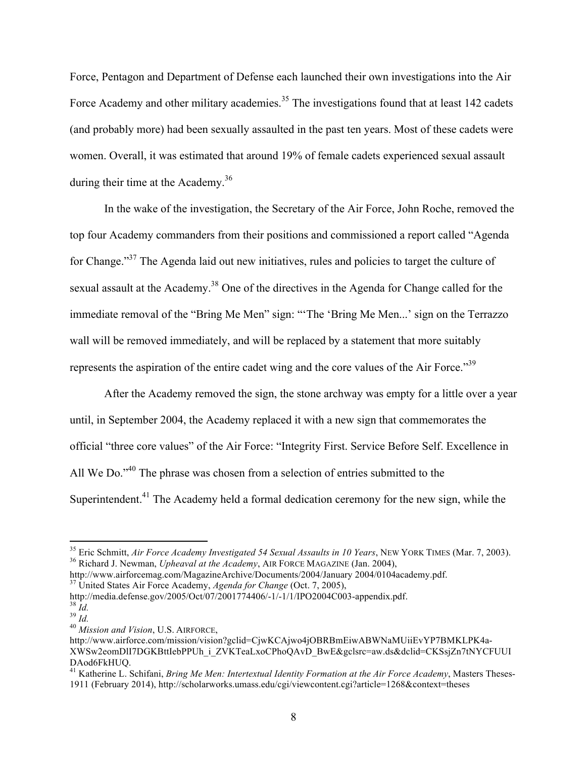Force, Pentagon and Department of Defense each launched their own investigations into the Air Force Academy and other military academies.<sup>35</sup> The investigations found that at least 142 cadets (and probably more) had been sexually assaulted in the past ten years. Most of these cadets were women. Overall, it was estimated that around 19% of female cadets experienced sexual assault during their time at the Academy.<sup>36</sup>

In the wake of the investigation, the Secretary of the Air Force, John Roche, removed the top four Academy commanders from their positions and commissioned a report called "Agenda for Change."<sup>37</sup> The Agenda laid out new initiatives, rules and policies to target the culture of sexual assault at the Academy.<sup>38</sup> One of the directives in the Agenda for Change called for the immediate removal of the "Bring Me Men" sign: "'The 'Bring Me Men...' sign on the Terrazzo wall will be removed immediately, and will be replaced by a statement that more suitably represents the aspiration of the entire cadet wing and the core values of the Air Force."39

After the Academy removed the sign, the stone archway was empty for a little over a year until, in September 2004, the Academy replaced it with a new sign that commemorates the official "three core values" of the Air Force: "Integrity First. Service Before Self. Excellence in All We Do."<sup>40</sup> The phrase was chosen from a selection of entries submitted to the Superintendent.<sup>41</sup> The Academy held a formal dedication ceremony for the new sign, while the

<sup>&</sup>lt;sup>35</sup> Eric Schmitt, *Air Force Academy Investigated 54 Sexual Assaults in 10 Years*, NEW YORK TIMES (Mar. 7, 2003).<br><sup>36</sup> Richard J. Newman, *Upheaval at the Academy*, AIR FORCE MAGAZINE (Jan. 2004),

http://www.airforcemag.com/MagazineArchive/Documents/2004/January 2004/0104academy.pdf. <sup>37</sup> United States Air Force Academy, *Agenda for Change* (Oct. 7, 2005),

http://media.defense.gov/2005/Oct/07/2001774406/-1/-1/1/IPO2004C003-appendix.pdf.<br><sup>38</sup> *Id.*<br><sup>40</sup> *Mission and Vision*, U.S. AIRFORCE,

http://www.airforce.com/mission/vision?gclid=CjwKCAjwo4jOBRBmEiwABWNaMUiiEvYP7BMKLPK4a-XWSw2eomDlI7DGKBttIebPPUh\_i\_ZVKTeaLxoCPhoQAvD\_BwE&gclsrc=aw.ds&dclid=CKSsjZn7tNYCFUUI DAod6FkHUQ.

<sup>&</sup>lt;sup>41</sup> Katherine L. Schifani, *Bring Me Men: Intertextual Identity Formation at the Air Force Academy*, Masters Theses-1911 (February 2014), http://scholarworks.umass.edu/cgi/viewcontent.cgi?article=1268&context=theses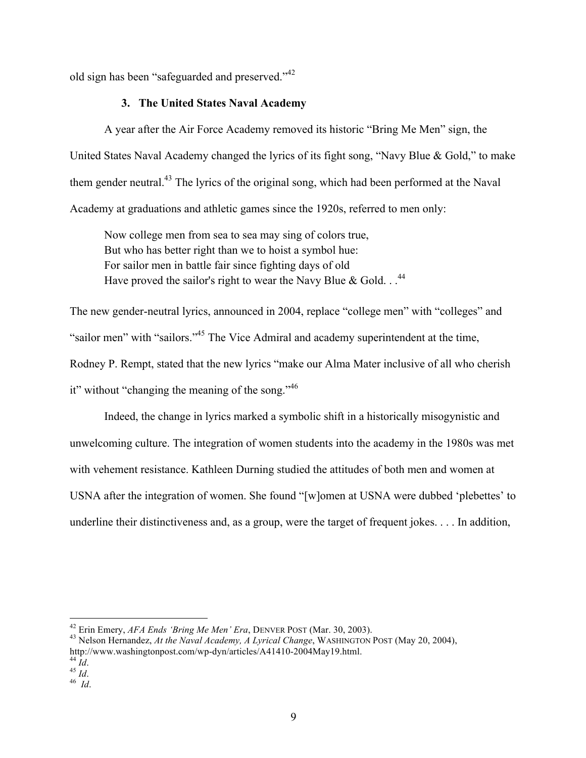old sign has been "safeguarded and preserved."<sup>42</sup>

# **3. The United States Naval Academy**

A year after the Air Force Academy removed its historic "Bring Me Men" sign, the United States Naval Academy changed the lyrics of its fight song, "Navy Blue & Gold," to make them gender neutral.<sup>43</sup> The lyrics of the original song, which had been performed at the Naval Academy at graduations and athletic games since the 1920s, referred to men only:

Now college men from sea to sea may sing of colors true, But who has better right than we to hoist a symbol hue: For sailor men in battle fair since fighting days of old Have proved the sailor's right to wear the Navy Blue & Gold.  $.$ <sup>44</sup>

The new gender-neutral lyrics, announced in 2004, replace "college men" with "colleges" and "sailor men" with "sailors."45 The Vice Admiral and academy superintendent at the time, Rodney P. Rempt, stated that the new lyrics "make our Alma Mater inclusive of all who cherish it" without "changing the meaning of the song."  $46$ 

Indeed, the change in lyrics marked a symbolic shift in a historically misogynistic and unwelcoming culture. The integration of women students into the academy in the 1980s was met with vehement resistance. Kathleen Durning studied the attitudes of both men and women at USNA after the integration of women. She found "[w]omen at USNA were dubbed 'plebettes' to underline their distinctiveness and, as a group, were the target of frequent jokes. . . . In addition,

 

<sup>&</sup>lt;sup>42</sup> Erin Emery, *AFA Ends 'Bring Me Men' Era*, DENVER POST (Mar. 30, 2003).<br><sup>43</sup> Nelson Hernandez, *At the Naval Academy, A Lyrical Change*, WASHINGTON POST (May 20, 2004), http://www.washingtonpost.com/wp-dyn/articles/A41410-2004May19.html. <sup>44</sup> *Id*. <sup>45</sup> *Id*. <sup>46</sup>*Id*.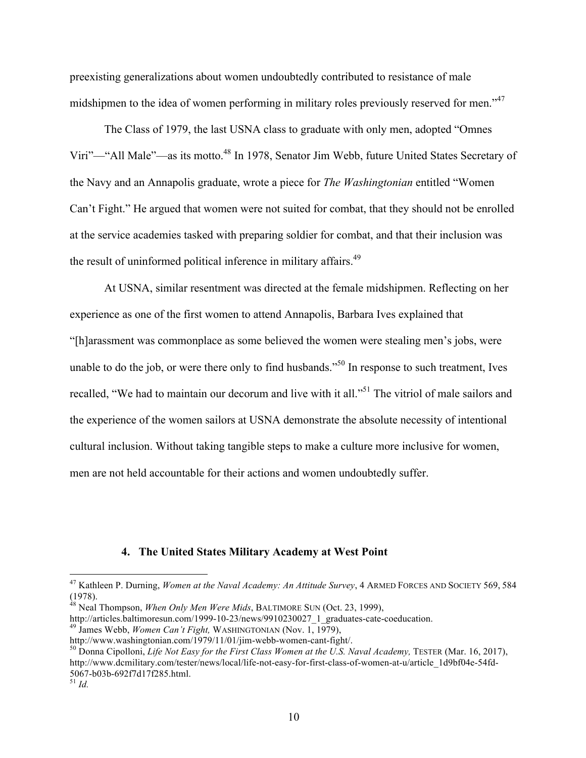preexisting generalizations about women undoubtedly contributed to resistance of male midshipmen to the idea of women performing in military roles previously reserved for men."<sup>47</sup>

The Class of 1979, the last USNA class to graduate with only men, adopted "Omnes Viri"—"All Male"—as its motto.48 In 1978, Senator Jim Webb, future United States Secretary of the Navy and an Annapolis graduate, wrote a piece for *The Washingtonian* entitled "Women Can't Fight." He argued that women were not suited for combat, that they should not be enrolled at the service academies tasked with preparing soldier for combat, and that their inclusion was the result of uninformed political inference in military affairs.<sup>49</sup>

At USNA, similar resentment was directed at the female midshipmen. Reflecting on her experience as one of the first women to attend Annapolis, Barbara Ives explained that "[h]arassment was commonplace as some believed the women were stealing men's jobs, were unable to do the job, or were there only to find husbands.<sup>550</sup> In response to such treatment, Ives recalled, "We had to maintain our decorum and live with it all."<sup>51</sup> The vitriol of male sailors and the experience of the women sailors at USNA demonstrate the absolute necessity of intentional cultural inclusion. Without taking tangible steps to make a culture more inclusive for women, men are not held accountable for their actions and women undoubtedly suffer.

#### **4. The United States Military Academy at West Point**

http://articles.baltimoresun.com/1999-10-23/news/9910230027\_1\_graduates-cate-coeducation.<br><sup>49</sup> James Webb, *Women Can't Fight*, WASHINGTONIAN (Nov. 1, 1979),<br>http://www.washingtonian.com/1979/11/01/jim-webb-women-cant-figh

 <sup>47</sup> Kathleen P. Durning, *Women at the Naval Academy: An Attitude Survey*, 4 ARMED FORCES AND SOCIETY 569, <sup>584</sup> (1978).<br><sup>48</sup> Neal Thompson, *When Only Men Were Mids*, BALTIMORE SUN (Oct. 23, 1999),

<sup>&</sup>lt;sup>50</sup> Donna Cipolloni, *Life Not Easy for the First Class Women at the U.S. Naval Academy*, TESTER (Mar. 16, 2017), http://www.dcmilitary.com/tester/news/local/life-not-easy-for-first-class-of-women-at-u/article\_1d9bf04e-54fd-5067-b03b-692f7d17f285.html. <sup>51</sup> *Id.*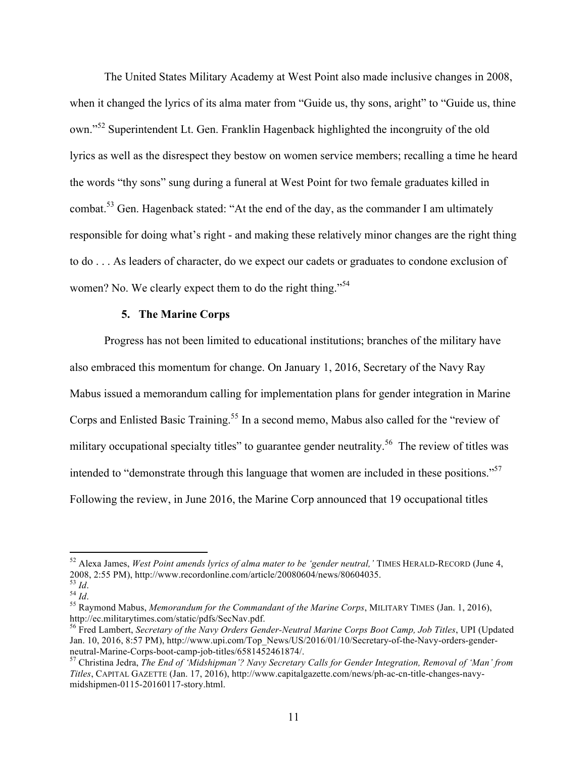The United States Military Academy at West Point also made inclusive changes in 2008, when it changed the lyrics of its alma mater from "Guide us, thy sons, aright" to "Guide us, thine own."<sup>52</sup> Superintendent Lt. Gen. Franklin Hagenback highlighted the incongruity of the old lyrics as well as the disrespect they bestow on women service members; recalling a time he heard the words "thy sons" sung during a funeral at West Point for two female graduates killed in combat.<sup>53</sup> Gen. Hagenback stated: "At the end of the day, as the commander I am ultimately responsible for doing what's right - and making these relatively minor changes are the right thing to do . . . As leaders of character, do we expect our cadets or graduates to condone exclusion of women? No. We clearly expect them to do the right thing."<sup>54</sup>

#### **5. The Marine Corps**

Progress has not been limited to educational institutions; branches of the military have also embraced this momentum for change. On January 1, 2016, Secretary of the Navy Ray Mabus issued a memorandum calling for implementation plans for gender integration in Marine Corps and Enlisted Basic Training.<sup>55</sup> In a second memo, Mabus also called for the "review of military occupational specialty titles" to guarantee gender neutrality.<sup>56</sup> The review of titles was intended to "demonstrate through this language that women are included in these positions."<sup>57</sup> Following the review, in June 2016, the Marine Corp announced that 19 occupational titles

<sup>&</sup>lt;sup>52</sup> Alexa James, *West Point amends lyrics of alma mater to be 'gender neutral*,' TIMES HERALD-RECORD (June 4, 2008, 2:55 PM), http://www.recordonline.com/article/20080604/news/80604035.

<sup>2008, 2:55</sup> PM), http://www.recordonline.com/article/20080604040404060404060404<br><sup>54</sup> *Id.*<br><sup>55</sup> Raymond Mabus, *Memorandum for the Commandant of the Marine Corps*, MILITARY TIMES (Jan. 1, 2016), http://ec.militarytimes.com/static/pdfs/SecNav.pdf.

<sup>56</sup> Fred Lambert, *Secretary of the Navy Orders Gender-Neutral Marine Corps Boot Camp, Job Titles*, UPI (Updated Jan. 10, 2016, 8:57 PM), http://www.upi.com/Top\_News/US/2016/01/10/Secretary-of-the-Navy-orders-gender-neutral-Marine-Corps-boot-camp-job-titles/6581452461874/.

<sup>&</sup>lt;sup>57</sup> Christina Jedra, *The End of 'Midshipman'? Navy Secretary Calls for Gender Integration, Removal of 'Man' from Titles*, CAPITAL GAZETTE (Jan. 17, 2016), http://www.capitalgazette.com/news/ph-ac-cn-title-changes-navymidshipmen-0115-20160117-story.html.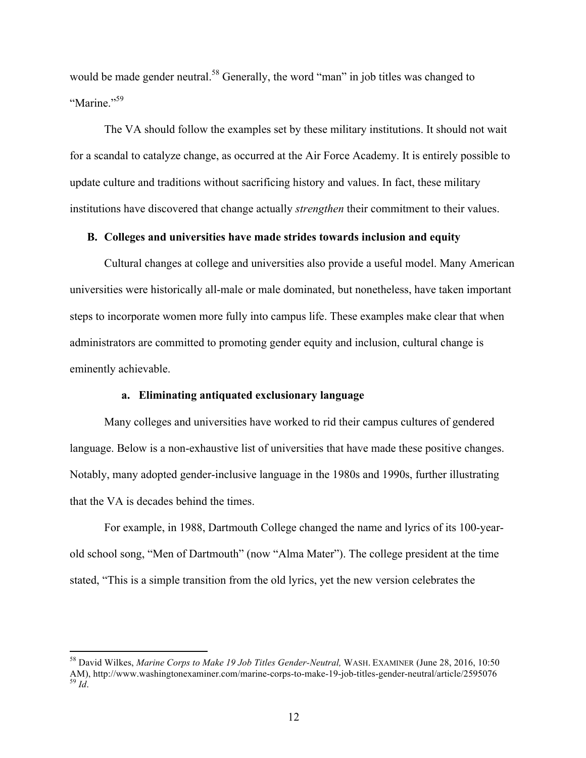would be made gender neutral.<sup>58</sup> Generally, the word "man" in job titles was changed to "Marine."<sup>59</sup>

The VA should follow the examples set by these military institutions. It should not wait for a scandal to catalyze change, as occurred at the Air Force Academy. It is entirely possible to update culture and traditions without sacrificing history and values. In fact, these military institutions have discovered that change actually *strengthen* their commitment to their values.

# **B. Colleges and universities have made strides towards inclusion and equity**

Cultural changes at college and universities also provide a useful model. Many American universities were historically all-male or male dominated, but nonetheless, have taken important steps to incorporate women more fully into campus life. These examples make clear that when administrators are committed to promoting gender equity and inclusion, cultural change is eminently achievable.

## **a. Eliminating antiquated exclusionary language**

Many colleges and universities have worked to rid their campus cultures of gendered language. Below is a non-exhaustive list of universities that have made these positive changes. Notably, many adopted gender-inclusive language in the 1980s and 1990s, further illustrating that the VA is decades behind the times.

For example, in 1988, Dartmouth College changed the name and lyrics of its 100-yearold school song, "Men of Dartmouth" (now "Alma Mater"). The college president at the time stated, "This is a simple transition from the old lyrics, yet the new version celebrates the

 <sup>58</sup> David Wilkes, *Marine Corps to Make 19 Job Titles Gender-Neutral,* WASH. EXAMINER (June 28, 2016, 10:50 AM), http://www.washingtonexaminer.com/marine-corps-to-make-19-job-titles-gender-neutral/article/2595076 *Id*.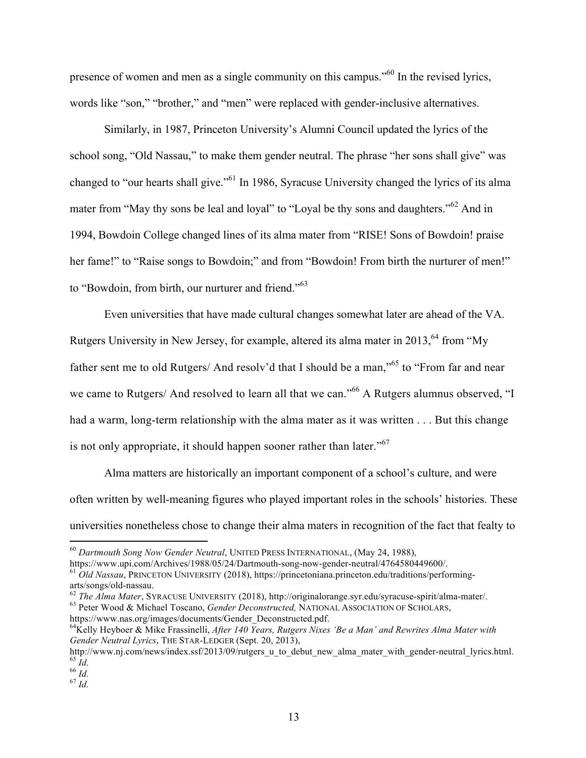presence of women and men as a single community on this campus."<sup>60</sup> In the revised lyrics, words like "son," "brother," and "men" were replaced with gender-inclusive alternatives.

Similarly, in 1987, Princeton University's Alumni Council updated the lyrics of the school song, "Old Nassau," to make them gender neutral. The phrase "her sons shall give" was changed to "our hearts shall give."61 In 1986, Syracuse University changed the lyrics of its alma mater from "May thy sons be leal and loyal" to "Loyal be thy sons and daughters."<sup>62</sup> And in 1994, Bowdoin College changed lines of its alma mater from "RISE! Sons of Bowdoin! praise her fame!" to "Raise songs to Bowdoin;" and from "Bowdoin! From birth the nurturer of men!" to "Bowdoin, from birth, our nurturer and friend."<sup>63</sup>

Even universities that have made cultural changes somewhat later are ahead of the VA. Rutgers University in New Jersey, for example, altered its alma mater in 2013,  $64$  from "My father sent me to old Rutgers/ And resolv'd that I should be a man,"<sup>65</sup> to "From far and near we came to Rutgers/ And resolved to learn all that we can."<sup>66</sup> A Rutgers alumnus observed, "I had a warm, long-term relationship with the alma mater as it was written . . . But this change is not only appropriate, it should happen sooner rather than later."<sup>67</sup>

Alma matters are historically an important component of a school's culture, and were often written by well-meaning figures who played important roles in the schools' histories. These universities nonetheless chose to change their alma maters in recognition of the fact that fealty to

<sup>&</sup>lt;sup>60</sup> *Dartmouth Song Now Gender Neutral*, UNITED PRESS INTERNATIONAL, (May 24, 1988),<br>https://www.upi.com/Archives/1988/05/24/Dartmouth-song-now-gender-neutral/4764580449600/.

<sup>&</sup>lt;sup>61</sup> Old Nassau, PRINCETON UNIVERSITY (2018), https://princetoniana.princeton.edu/traditions/performing-

arts/songs/old-nassau.<br><sup>62</sup> The Alma Mater, SYRACUSE UNIVERSITY (2018), http://originalorange.syr.edu/syracuse-spirit/alma-mater/.<br><sup>63</sup> Peter Wood & Michael Toscano, *Gender Deconstructed*, NATIONAL ASSOCIATION OF SCHOLARS

https://www.nas.org/images/documents/Gender\_Deconstructed.pdf.

<sup>64</sup>Kelly Heyboer & Mike Frassinelli, *After 140 Years, Rutgers Nixes 'Be a Man' and Rewrites Alma Mater with Gender Neutral Lyrics*, THE STAR-LEDGER (Sept. 20, 2013),

http://www.nj.com/news/index.ssf/2013/09/rutgers\_u\_to\_debut\_new\_alma\_mater\_with\_gender-neutral\_lyrics.html.<br><sup>65</sup> *Id.* 66 *Id.* 67 *Id.*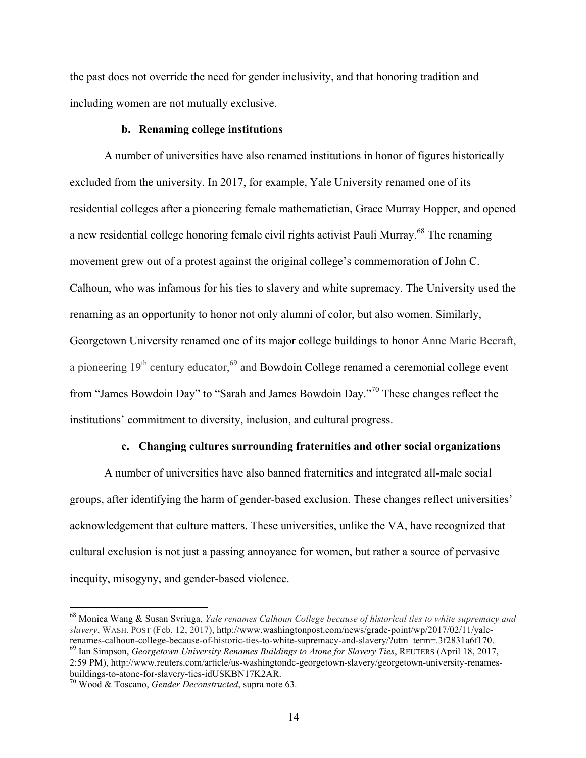the past does not override the need for gender inclusivity, and that honoring tradition and including women are not mutually exclusive.

#### **b. Renaming college institutions**

A number of universities have also renamed institutions in honor of figures historically excluded from the university. In 2017, for example, Yale University renamed one of its residential colleges after a pioneering female mathematictian, Grace Murray Hopper, and opened a new residential college honoring female civil rights activist Pauli Murray.<sup>68</sup> The renaming movement grew out of a protest against the original college's commemoration of John C. Calhoun, who was infamous for his ties to slavery and white supremacy. The University used the renaming as an opportunity to honor not only alumni of color, but also women. Similarly, Georgetown University renamed one of its major college buildings to honor Anne Marie Becraft, a pioneering  $19<sup>th</sup>$  century educator,  $<sup>69</sup>$  and Bowdoin College renamed a ceremonial college event</sup> from "James Bowdoin Day" to "Sarah and James Bowdoin Day."<sup>70</sup> These changes reflect the institutions' commitment to diversity, inclusion, and cultural progress.

#### **c. Changing cultures surrounding fraternities and other social organizations**

A number of universities have also banned fraternities and integrated all-male social groups, after identifying the harm of gender-based exclusion. These changes reflect universities' acknowledgement that culture matters. These universities, unlike the VA, have recognized that cultural exclusion is not just a passing annoyance for women, but rather a source of pervasive inequity, misogyny, and gender-based violence.

 <sup>68</sup> Monica Wang & Susan Svriuga, *Yale renames Calhoun College because of historical ties to white supremacy and slavery*, WASH. POST (Feb. 12, 2017), http://www.washingtonpost.com/news/grade-point/wp/2017/02/11/yalerenames-calhoun-college-because-of-historic-ties-to-white-supremacy-and-slavery/?utm\_term=.3f2831a6f170. 69 Ian Simpson, *Georgetown University Renames Buildings to Atone for Slavery Ties*, REUTERS (April 18, 2017, 2:59 PM), http://www.reuters.com/article/us-washingtondc-georgetown-slavery/georgetown-university-renamesbuildings-to-atone-for-slavery-ties-idUSKBN17K2AR. <sup>70</sup> Wood & Toscano, *Gender Deconstructed*, supra note 63.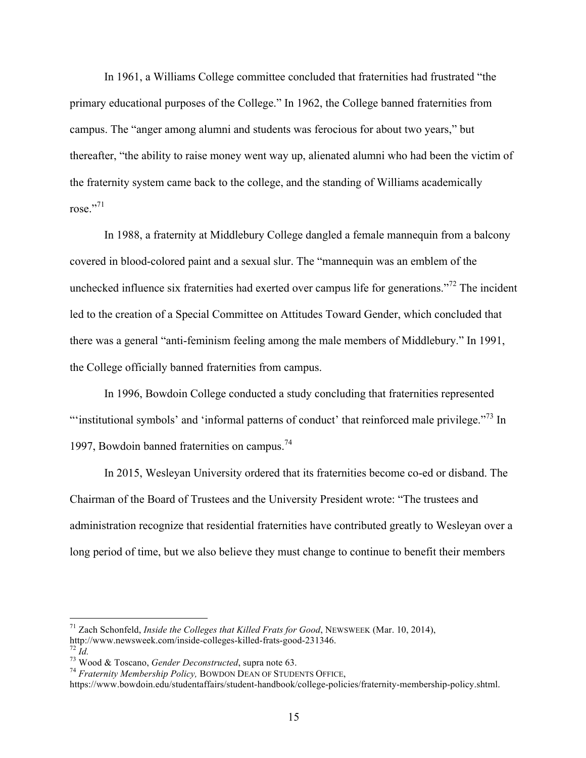In 1961, a Williams College committee concluded that fraternities had frustrated "the primary educational purposes of the College." In 1962, the College banned fraternities from campus. The "anger among alumni and students was ferocious for about two years," but thereafter, "the ability to raise money went way up, alienated alumni who had been the victim of the fraternity system came back to the college, and the standing of Williams academically rose." $71$ 

In 1988, a fraternity at Middlebury College dangled a female mannequin from a balcony covered in blood-colored paint and a sexual slur. The "mannequin was an emblem of the unchecked influence six fraternities had exerted over campus life for generations."<sup>72</sup> The incident led to the creation of a Special Committee on Attitudes Toward Gender, which concluded that there was a general "anti-feminism feeling among the male members of Middlebury." In 1991, the College officially banned fraternities from campus.

In 1996, Bowdoin College conducted a study concluding that fraternities represented "'institutional symbols' and 'informal patterns of conduct' that reinforced male privilege."<sup>73</sup> In 1997, Bowdoin banned fraternities on campus.<sup>74</sup>

In 2015, Wesleyan University ordered that its fraternities become co-ed or disband. The Chairman of the Board of Trustees and the University President wrote: "The trustees and administration recognize that residential fraternities have contributed greatly to Wesleyan over a long period of time, but we also believe they must change to continue to benefit their members

 

<sup>&</sup>lt;sup>71</sup> Zach Schonfeld, *Inside the Colleges that Killed Frats for Good*, NEWSWEEK (Mar. 10, 2014), http://www.newsweek.com/inside-colleges-killed-frats-good-231346. <sup>72</sup> Id.<br><sup>73</sup> Wood & Toscano, *Gender Deconstructed*, supra note 63. *74 <i>Fraternity Membership Policy*, BOWDON DEAN OF STUDENTS OFFICE,

https://www.bowdoin.edu/studentaffairs/student-handbook/college-policies/fraternity-membership-policy.shtml.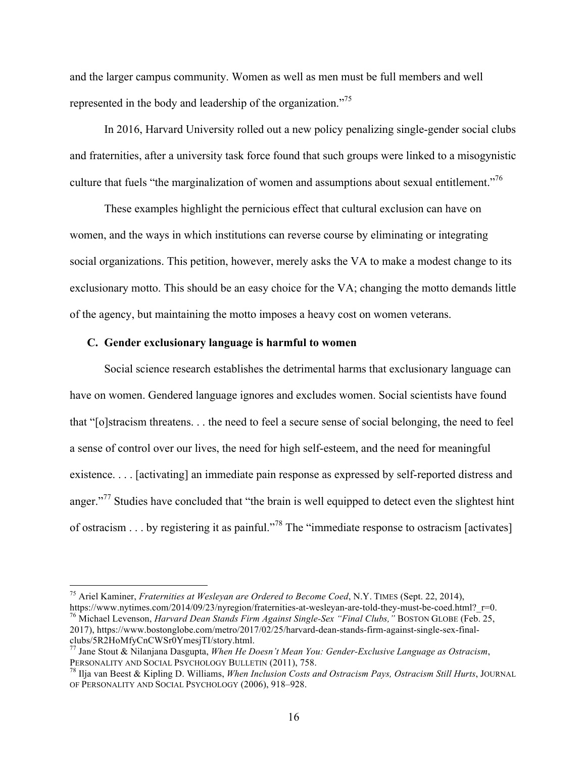and the larger campus community. Women as well as men must be full members and well represented in the body and leadership of the organization."<sup>75</sup>

In 2016, Harvard University rolled out a new policy penalizing single-gender social clubs and fraternities, after a university task force found that such groups were linked to a misogynistic culture that fuels "the marginalization of women and assumptions about sexual entitlement."<sup>76</sup>

These examples highlight the pernicious effect that cultural exclusion can have on women, and the ways in which institutions can reverse course by eliminating or integrating social organizations. This petition, however, merely asks the VA to make a modest change to its exclusionary motto. This should be an easy choice for the VA; changing the motto demands little of the agency, but maintaining the motto imposes a heavy cost on women veterans.

## **C. Gender exclusionary language is harmful to women**

Social science research establishes the detrimental harms that exclusionary language can have on women. Gendered language ignores and excludes women. Social scientists have found that "[o]stracism threatens. . . the need to feel a secure sense of social belonging, the need to feel a sense of control over our lives, the need for high self-esteem, and the need for meaningful existence. . . . [activating] an immediate pain response as expressed by self-reported distress and anger."<sup>77</sup> Studies have concluded that "the brain is well equipped to detect even the slightest hint of ostracism . . . by registering it as painful."<sup>78</sup> The "immediate response to ostracism [activates]

<sup>&</sup>lt;sup>75</sup> Ariel Kaminer, *Fraternities at Wesleyan are Ordered to Become Coed*, N.Y. TIMES (Sept. 22, 2014),<br>https://www.nytimes.com/2014/09/23/nyregion/fraternities-at-wesleyan-are-told-they-must-be-coed.html? r=0. <sup>76</sup> Michael Levenson, *Harvard Dean Stands Firm Against Single-Sex "Final Clubs,"* BOSTON GLOBE (Feb. 25,

<sup>2017),</sup> https://www.bostonglobe.com/metro/2017/02/25/harvard-dean-stands-firm-against-single-sex-finalclubs/5R2HoMfyCnCWSr0YmesjTI/story.html.

<sup>77</sup> Jane Stout & Nilanjana Dasgupta, *When He Doesn't Mean You: Gender-Exclusive Language as Ostracism*, PERSONALITY AND SOCIAL PSYCHOLOGY BULLETIN (2011), 758.<br><sup>78</sup> Ilja van Beest & Kipling D. Williams, *When Inclusion Costs and Ostracism Pays, Ostracism Still Hurts*, JOURNAL

OF PERSONALITY AND SOCIAL PSYCHOLOGY (2006), 918–928.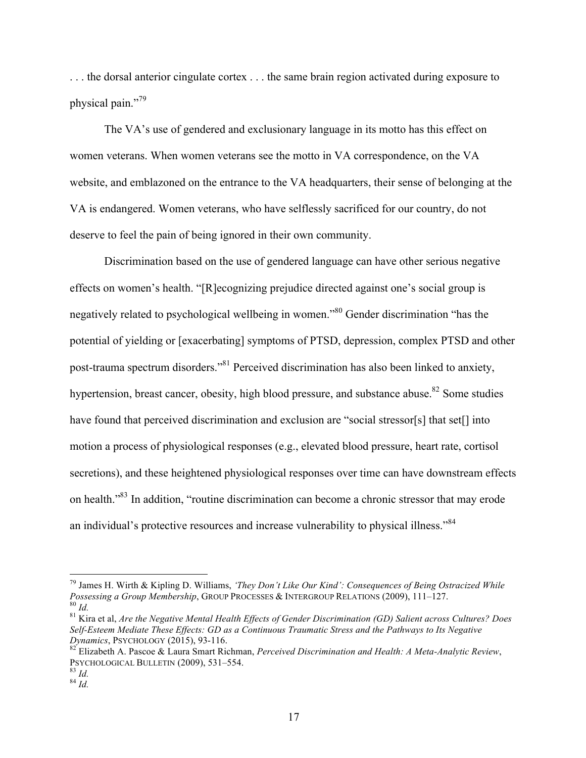. . . the dorsal anterior cingulate cortex . . . the same brain region activated during exposure to physical pain."<sup>79</sup>

The VA's use of gendered and exclusionary language in its motto has this effect on women veterans. When women veterans see the motto in VA correspondence, on the VA website, and emblazoned on the entrance to the VA headquarters, their sense of belonging at the VA is endangered. Women veterans, who have selflessly sacrificed for our country, do not deserve to feel the pain of being ignored in their own community.

Discrimination based on the use of gendered language can have other serious negative effects on women's health. "[R]ecognizing prejudice directed against one's social group is negatively related to psychological wellbeing in women."<sup>80</sup> Gender discrimination "has the potential of yielding or [exacerbating] symptoms of PTSD, depression, complex PTSD and other post-trauma spectrum disorders."81 Perceived discrimination has also been linked to anxiety, hypertension, breast cancer, obesity, high blood pressure, and substance abuse.<sup>82</sup> Some studies have found that perceived discrimination and exclusion are "social stressor[s] that set[] into motion a process of physiological responses (e.g., elevated blood pressure, heart rate, cortisol secretions), and these heightened physiological responses over time can have downstream effects on health."83 In addition, "routine discrimination can become a chronic stressor that may erode an individual's protective resources and increase vulnerability to physical illness."<sup>84</sup>

 <sup>79</sup> James H. Wirth & Kipling D. Williams, *'They Don't Like Our Kind': Consequences of Being Ostracized While*   $\frac{80}{1}$  Id.<br> $\frac{1}{10}$  Kira et al, *Are the Negative Mental Health Effects of Gender Discrimination (GD) Salient across Cultures? Does* 

*Self-Esteem Mediate These Effects: GD as a Continuous Traumatic Stress and the Pathways to Its Negative* 

<sup>&</sup>lt;sup>82</sup> Elizabeth A. Pascoe & Laura Smart Richman, *Perceived Discrimination and Health: A Meta-Analytic Review*, PSYCHOLOGICAL BULLETIN (2009), 531–554. <sup>83</sup> *Id.* <sup>84</sup> *Id.*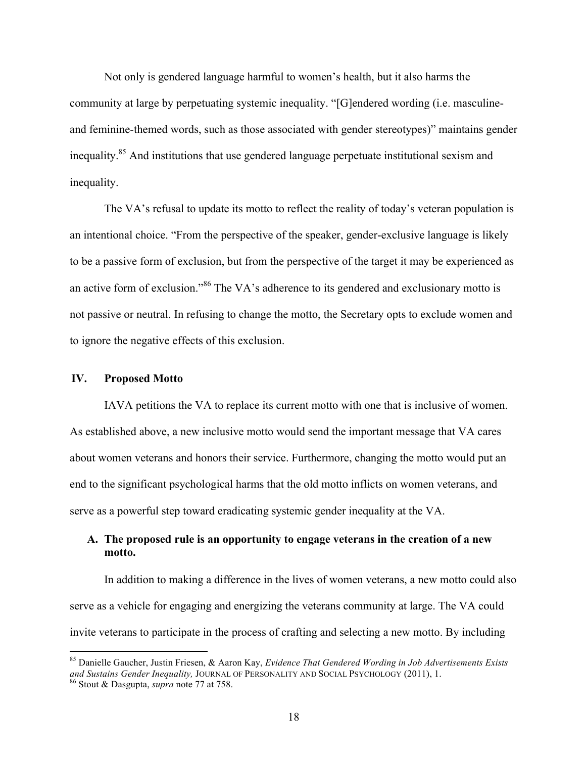Not only is gendered language harmful to women's health, but it also harms the community at large by perpetuating systemic inequality. "[G]endered wording (i.e. masculineand feminine-themed words, such as those associated with gender stereotypes)" maintains gender inequality.85 And institutions that use gendered language perpetuate institutional sexism and inequality.

The VA's refusal to update its motto to reflect the reality of today's veteran population is an intentional choice. "From the perspective of the speaker, gender-exclusive language is likely to be a passive form of exclusion, but from the perspective of the target it may be experienced as an active form of exclusion."<sup>86</sup> The VA's adherence to its gendered and exclusionary motto is not passive or neutral. In refusing to change the motto, the Secretary opts to exclude women and to ignore the negative effects of this exclusion.

### **IV. Proposed Motto**

IAVA petitions the VA to replace its current motto with one that is inclusive of women. As established above, a new inclusive motto would send the important message that VA cares about women veterans and honors their service. Furthermore, changing the motto would put an end to the significant psychological harms that the old motto inflicts on women veterans, and serve as a powerful step toward eradicating systemic gender inequality at the VA.

# **A. The proposed rule is an opportunity to engage veterans in the creation of a new motto.**

In addition to making a difference in the lives of women veterans, a new motto could also serve as a vehicle for engaging and energizing the veterans community at large. The VA could invite veterans to participate in the process of crafting and selecting a new motto. By including

 <sup>85</sup> Danielle Gaucher, Justin Friesen, & Aaron Kay, *Evidence That Gendered Wording in Job Advertisements Exists and Sustains Gender Inequality,* JOURNAL OF PERSONALITY AND SOCIAL PSYCHOLOGY (2011), 1. <sup>86</sup> Stout & Dasgupta, *supra* note 77 at 758.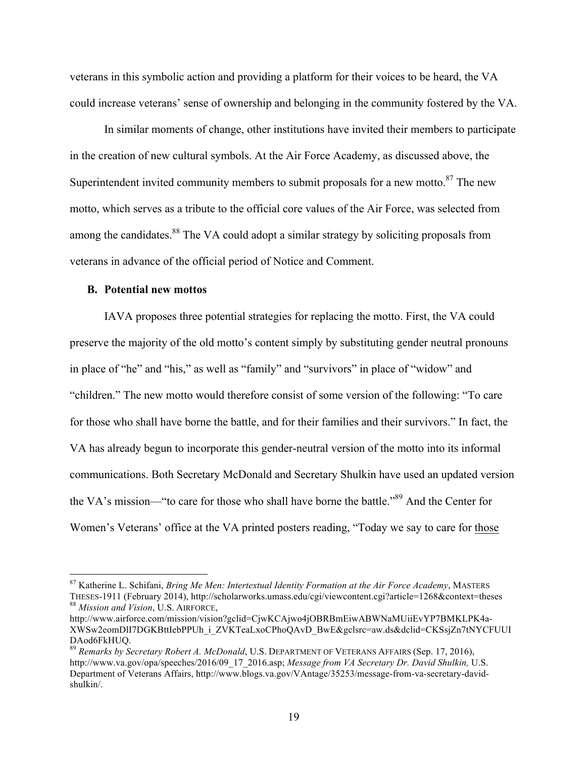veterans in this symbolic action and providing a platform for their voices to be heard, the VA could increase veterans' sense of ownership and belonging in the community fostered by the VA.

In similar moments of change, other institutions have invited their members to participate in the creation of new cultural symbols. At the Air Force Academy, as discussed above, the Superintendent invited community members to submit proposals for a new motto.<sup>87</sup> The new motto, which serves as a tribute to the official core values of the Air Force, was selected from among the candidates.<sup>88</sup> The VA could adopt a similar strategy by soliciting proposals from veterans in advance of the official period of Notice and Comment.

### **B. Potential new mottos**

IAVA proposes three potential strategies for replacing the motto. First, the VA could preserve the majority of the old motto's content simply by substituting gender neutral pronouns in place of "he" and "his," as well as "family" and "survivors" in place of "widow" and "children." The new motto would therefore consist of some version of the following: "To care for those who shall have borne the battle, and for their families and their survivors." In fact, the VA has already begun to incorporate this gender-neutral version of the motto into its informal communications. Both Secretary McDonald and Secretary Shulkin have used an updated version the VA's mission—"to care for those who shall have borne the battle."<sup>89</sup> And the Center for Women's Veterans' office at the VA printed posters reading, "Today we say to care for those

 <sup>87</sup> Katherine L. Schifani, *Bring Me Men: Intertextual Identity Formation at the Air Force Academy*, MASTERS THESES-1911 (February 2014), http://scholarworks.umass.edu/cgi/viewcontent.cgi?article=1268&context=theses <sup>88</sup> *Mission and Vision*, U.S. AIRFORCE,

http://www.airforce.com/mission/vision?gclid=CjwKCAjwo4jOBRBmEiwABWNaMUiiEvYP7BMKLPK4a-XWSw2eomDlI7DGKBttIebPPUh\_i\_ZVKTeaLxoCPhoQAvD\_BwE&gclsrc=aw.ds&dclid=CKSsjZn7tNYCFUUI DAod6FkHUQ.

<sup>89</sup> *Remarks by Secretary Robert A. McDonald*, U.S. DEPARTMENT OF VETERANS AFFAIRS (Sep. 17, 2016), http://www.va.gov/opa/speeches/2016/09\_17\_2016.asp; *Message from VA Secretary Dr. David Shulkin,* U.S. Department of Veterans Affairs, http://www.blogs.va.gov/VAntage/35253/message-from-va-secretary-davidshulkin/.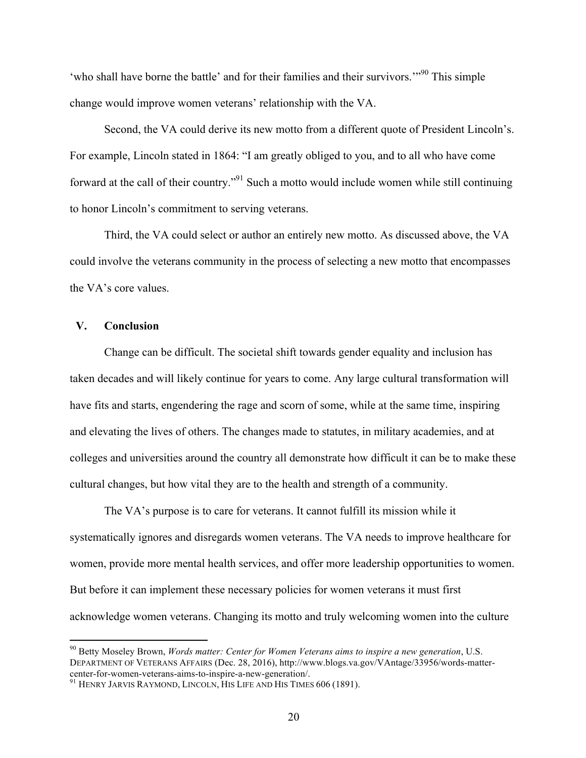'who shall have borne the battle' and for their families and their survivors.'"<sup>90</sup> This simple change would improve women veterans' relationship with the VA.

Second, the VA could derive its new motto from a different quote of President Lincoln's. For example, Lincoln stated in 1864: "I am greatly obliged to you, and to all who have come forward at the call of their country."91 Such a motto would include women while still continuing to honor Lincoln's commitment to serving veterans.

Third, the VA could select or author an entirely new motto. As discussed above, the VA could involve the veterans community in the process of selecting a new motto that encompasses the VA's core values.

#### **V. Conclusion**

Change can be difficult. The societal shift towards gender equality and inclusion has taken decades and will likely continue for years to come. Any large cultural transformation will have fits and starts, engendering the rage and scorn of some, while at the same time, inspiring and elevating the lives of others. The changes made to statutes, in military academies, and at colleges and universities around the country all demonstrate how difficult it can be to make these cultural changes, but how vital they are to the health and strength of a community.

The VA's purpose is to care for veterans. It cannot fulfill its mission while it systematically ignores and disregards women veterans. The VA needs to improve healthcare for women, provide more mental health services, and offer more leadership opportunities to women. But before it can implement these necessary policies for women veterans it must first acknowledge women veterans. Changing its motto and truly welcoming women into the culture

 <sup>90</sup> Betty Moseley Brown, *Words matter: Center for Women Veterans aims to inspire a new generation*, U.S. DEPARTMENT OF VETERANS AFFAIRS (Dec. 28, 2016), http://www.blogs.va.gov/VAntage/33956/words-mattercenter-for-women-veterans-aims-to-inspire-a-new-generation/.<br><sup>91</sup> HENRY JARVIS RAYMOND, LINCOLN, HIS LIFE AND HIS TIMES 606 (1891).